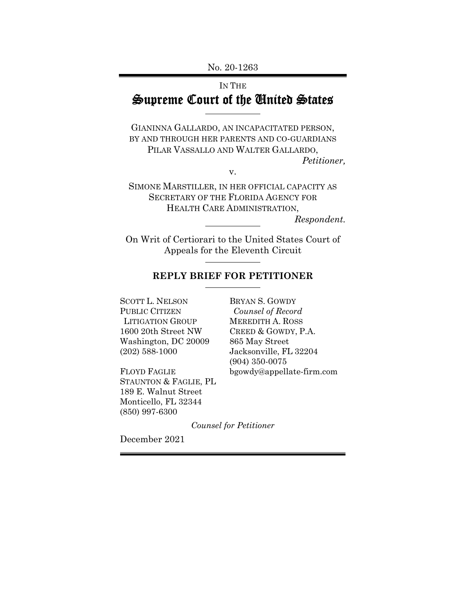No. 20-1263

# IN THE Supreme Court of the United States

GIANINNA GALLARDO, AN INCAPACITATED PERSON, BY AND THROUGH HER PARENTS AND CO-GUARDIANS PILAR VASSALLO AND WALTER GALLARDO, *Petitioner,* 

v.

SIMONE MARSTILLER, IN HER OFFICIAL CAPACITY AS SECRETARY OF THE FLORIDA AGENCY FOR HEALTH CARE ADMINISTRATION,

*Respondent.* 

On Writ of Certiorari to the United States Court of Appeals for the Eleventh Circuit

# **REPLY BRIEF FOR PETITIONER**

SCOTT L. NELSON BRYAN S. GOWDY PUBLIC CITIZEN *Counsel of Record*  LITIGATION GROUP MEREDITH A. ROSS 1600 20th Street NW CREED & GOWDY, P.A. Washington, DC 20009 865 May Street (202) 588-1000 Jacksonville, FL 32204

FLOYD FAGLIE bgowdy@appellate-firm.com STAUNTON & FAGLIE, PL 189 E. Walnut Street Monticello, FL 32344 (850) 997-6300

(904) 350-0075

*Counsel for Petitioner* 

December 2021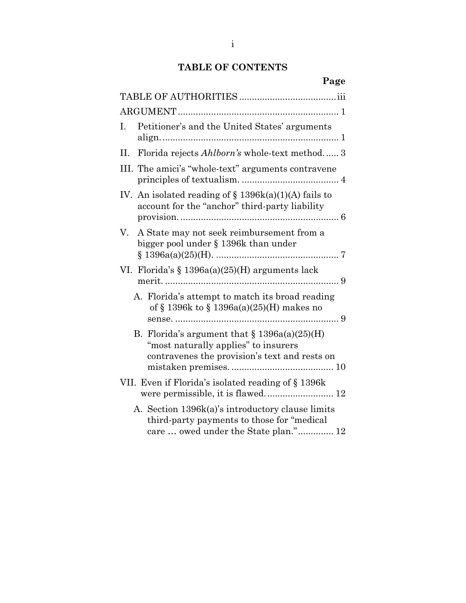# **TABLE OF CONTENTS**

| o<br>a |
|--------|
|--------|

| Petitioner's and the United States' arguments<br>Ι.                                                                                       |
|-------------------------------------------------------------------------------------------------------------------------------------------|
| Florida rejects Ahlborn's whole-text method 3<br>П.                                                                                       |
| III. The amici's "whole-text" arguments contravene                                                                                        |
| IV. An isolated reading of $\S$ 1396k(a)(1)(A) fails to<br>account for the "anchor" third-party liability                                 |
| V.<br>A State may not seek reimbursement from a<br>bigger pool under § 1396k than under                                                   |
| VI. Florida's $\S 1396a(a)(25)$ (H) arguments lack                                                                                        |
| A. Florida's attempt to match its broad reading<br>of § 1396k to § 1396a(a)(25)(H) makes no                                               |
| B. Florida's argument that $\S 1396a(a)(25)$ (H)<br>"most naturally applies" to insurers<br>contravenes the provision's text and rests on |
| VII. Even if Florida's isolated reading of § 1396k                                                                                        |
| A. Section 1396k(a)'s introductory clause limits<br>third-party payments to those for "medical"<br>care  owed under the State plan." 12   |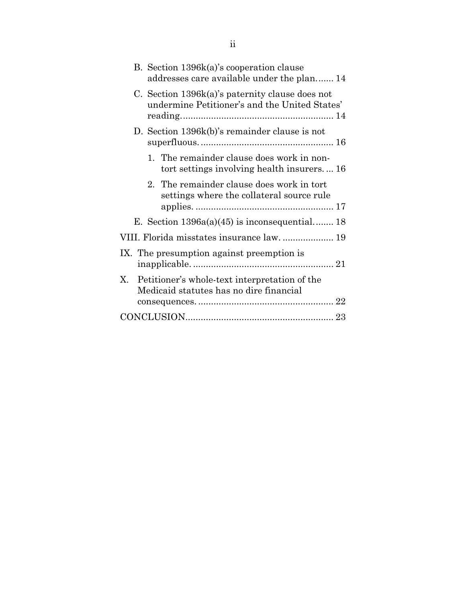| B. Section 1396k(a)'s cooperation clause<br>addresses care available under the plan 14           |
|--------------------------------------------------------------------------------------------------|
| C. Section 1396k(a)'s paternity clause does not<br>undermine Petitioner's and the United States' |
| D. Section 1396k(b)'s remainder clause is not                                                    |
| 1. The remainder clause does work in non-<br>tort settings involving health insurers 16          |
| 2. The remainder clause does work in tort<br>settings where the collateral source rule           |
| E. Section $1396a(a)(45)$ is inconsequential 18                                                  |
| VIII. Florida misstates insurance law 19                                                         |
| IX. The presumption against preemption is                                                        |
| Petitioner's whole-text interpretation of the<br>X.<br>Medicaid statutes has no dire financial   |
|                                                                                                  |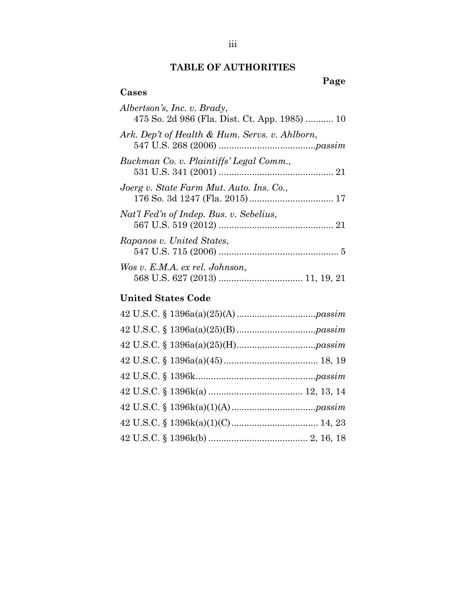# **TABLE OF AUTHORITIES**

# **Page**

| Albertson's, Inc. v. Brady,<br>475 So. 2d 986 (Fla. Dist. Ct. App. 1985)  10 |
|------------------------------------------------------------------------------|
| Ark. Dep't of Health & Hum. Servs. v. Ahlborn,                               |
| Buckman Co. v. Plaintiffs' Legal Comm.,                                      |
| Joerg v. State Farm Mut. Auto. Ins. Co.,                                     |
| Nat'l Fed'n of Indep. Bus. v. Sebelius,                                      |
| Rapanos v. United States,                                                    |
| Wos v. E.M.A. ex rel. Johnson,                                               |

# **United States Code**

**Cases**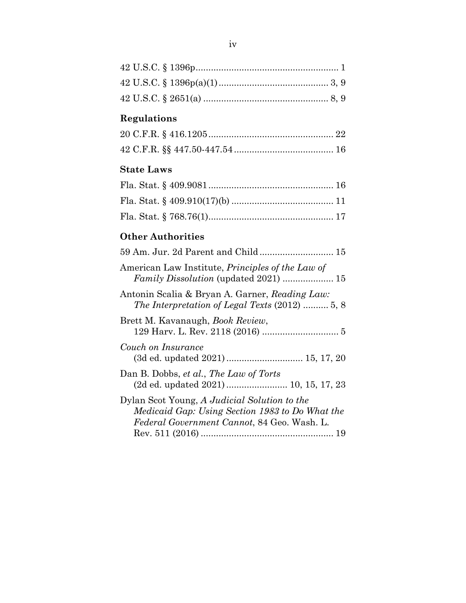# **Regulations**

# **State Laws**

# **Other Authorities**

| American Law Institute, <i>Principles of the Law of</i>                                                                                        |
|------------------------------------------------------------------------------------------------------------------------------------------------|
| Antonin Scalia & Bryan A. Garner, Reading Law:<br>The Interpretation of Legal Texts $(2012)$ 5, 8                                              |
| Brett M. Kavanaugh, <i>Book Review</i> ,                                                                                                       |
| Couch on Insurance                                                                                                                             |
| Dan B. Dobbs, et al., The Law of Torts                                                                                                         |
| Dylan Scot Young, A Judicial Solution to the<br>Medicaid Gap: Using Section 1983 to Do What the<br>Federal Government Cannot, 84 Geo. Wash. L. |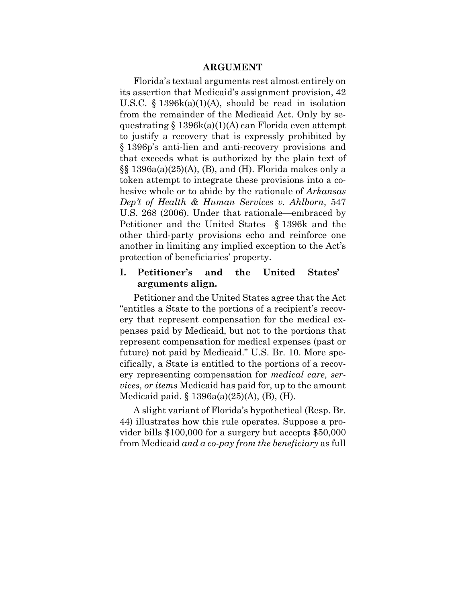#### **ARGUMENT**

Florida's textual arguments rest almost entirely on its assertion that Medicaid's assignment provision, 42 U.S.C. § 1396k(a)(1)(A), should be read in isolation from the remainder of the Medicaid Act. Only by sequestrating  $\S 1396k(a)(1)(A)$  can Florida even attempt to justify a recovery that is expressly prohibited by § 1396p's anti-lien and anti-recovery provisions and that exceeds what is authorized by the plain text of  $\S$ § 1396a(a)(25)(A), (B), and (H). Florida makes only a token attempt to integrate these provisions into a cohesive whole or to abide by the rationale of *Arkansas Dep't of Health & Human Services v. Ahlborn*, 547 U.S. 268 (2006). Under that rationale—embraced by Petitioner and the United States—§ 1396k and the other third-party provisions echo and reinforce one another in limiting any implied exception to the Act's protection of beneficiaries' property.

#### **I. Petitioner's and the United States' arguments align.**

Petitioner and the United States agree that the Act "entitles a State to the portions of a recipient's recovery that represent compensation for the medical expenses paid by Medicaid, but not to the portions that represent compensation for medical expenses (past or future) not paid by Medicaid." U.S. Br. 10. More specifically, a State is entitled to the portions of a recovery representing compensation for *medical care, services, or items* Medicaid has paid for, up to the amount Medicaid paid. § 1396a(a)(25)(A), (B), (H).

A slight variant of Florida's hypothetical (Resp. Br. 44) illustrates how this rule operates. Suppose a provider bills \$100,000 for a surgery but accepts \$50,000 from Medicaid *and a co-pay from the beneficiary* as full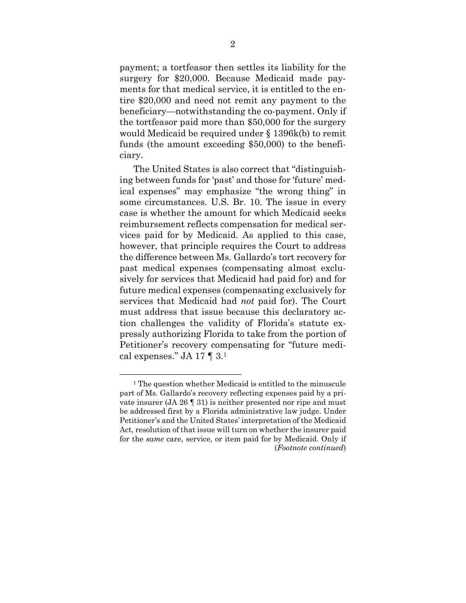payment; a tortfeasor then settles its liability for the surgery for \$20,000. Because Medicaid made payments for that medical service, it is entitled to the entire \$20,000 and need not remit any payment to the beneficiary—notwithstanding the co-payment. Only if the tortfeasor paid more than \$50,000 for the surgery would Medicaid be required under § 1396k(b) to remit funds (the amount exceeding \$50,000) to the beneficiary.

The United States is also correct that "distinguishing between funds for 'past' and those for 'future' medical expenses" may emphasize "the wrong thing" in some circumstances. U.S. Br. 10. The issue in every case is whether the amount for which Medicaid seeks reimbursement reflects compensation for medical services paid for by Medicaid. As applied to this case, however, that principle requires the Court to address the difference between Ms. Gallardo's tort recovery for past medical expenses (compensating almost exclusively for services that Medicaid had paid for) and for future medical expenses (compensating exclusively for services that Medicaid had *not* paid for). The Court must address that issue because this declaratory action challenges the validity of Florida's statute expressly authorizing Florida to take from the portion of Petitioner's recovery compensating for "future medical expenses." JA 17  $\P$  3.1

 $\frac{1}{2}$ . The question whether Medicaid is entitled to the minuscule part of Ms. Gallardo's recovery reflecting expenses paid by a private insurer (JA 26 ¶ 31) is neither presented nor ripe and must be addressed first by a Florida administrative law judge. Under Petitioner's and the United States' interpretation of the Medicaid Act, resolution of that issue will turn on whether the insurer paid for the *same* care, service, or item paid for by Medicaid. Only if (*Footnote continued*)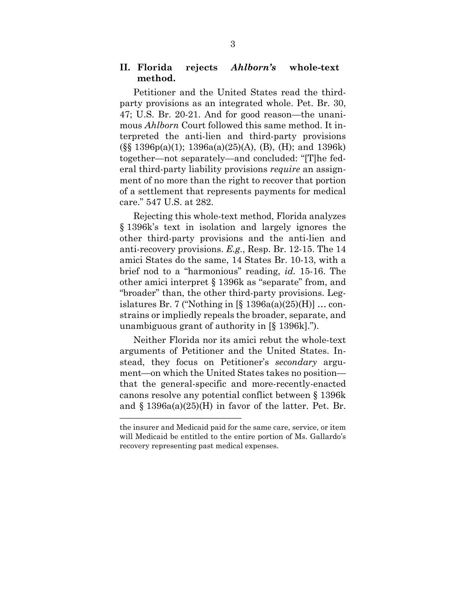#### **II. Florida rejects** *Ahlborn's* **whole-text method.**

Petitioner and the United States read the thirdparty provisions as an integrated whole. Pet. Br. 30, 47; U.S. Br. 20-21. And for good reason—the unanimous *Ahlborn* Court followed this same method. It interpreted the anti-lien and third-party provisions  $(\S\$  1396p(a)(1); 1396a(a)(25)(A), (B), (H); and 1396k) together—not separately—and concluded: "[T]he federal third-party liability provisions *require* an assignment of no more than the right to recover that portion of a settlement that represents payments for medical care." 547 U.S. at 282.

Rejecting this whole-text method, Florida analyzes § 1396k's text in isolation and largely ignores the other third-party provisions and the anti-lien and anti-recovery provisions. *E.g.*, Resp. Br. 12-15. The 14 amici States do the same, 14 States Br. 10-13, with a brief nod to a "harmonious" reading, *id.* 15-16. The other amici interpret § 1396k as "separate" from, and "broader" than, the other third-party provisions. Legislatures Br. 7 ("Nothing in  $[\S 1396a(a)(25)(H)]$  ... constrains or impliedly repeals the broader, separate, and unambiguous grant of authority in [§ 1396k].").

Neither Florida nor its amici rebut the whole-text arguments of Petitioner and the United States. Instead, they focus on Petitioner's *secondary* argument—on which the United States takes no position that the general-specific and more-recently-enacted canons resolve any potential conflict between § 1396k and  $\S$  1396a(a)(25)(H) in favor of the latter. Pet. Br.

––––––––––––––––––––––––

the insurer and Medicaid paid for the same care, service, or item will Medicaid be entitled to the entire portion of Ms. Gallardo's recovery representing past medical expenses.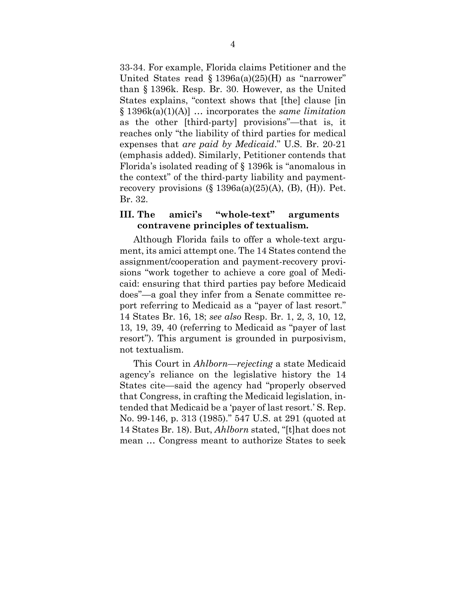33-34. For example, Florida claims Petitioner and the United States read  $\S 1396a(a)(25)$ (H) as "narrower" than § 1396k. Resp. Br. 30. However, as the United States explains, "context shows that [the] clause [in § 1396k(a)(1)(A)] … incorporates the *same limitation* as the other [third-party] provisions"—that is, it reaches only "the liability of third parties for medical expenses that *are paid by Medicaid*." U.S. Br. 20-21 (emphasis added). Similarly, Petitioner contends that Florida's isolated reading of § 1396k is "anomalous in the context" of the third-party liability and paymentrecovery provisions  $(\S 1396a(a)(25)(A), (B), (H))$ . Pet. Br. 32.

### **III. The amici's "whole-text" arguments contravene principles of textualism.**

Although Florida fails to offer a whole-text argument, its amici attempt one. The 14 States contend the assignment/cooperation and payment-recovery provisions "work together to achieve a core goal of Medicaid: ensuring that third parties pay before Medicaid does"—a goal they infer from a Senate committee report referring to Medicaid as a "payer of last resort." 14 States Br. 16, 18; *see also* Resp. Br. 1, 2, 3, 10, 12, 13, 19, 39, 40 (referring to Medicaid as "payer of last resort"). This argument is grounded in purposivism, not textualism.

This Court in *Ahlborn*—*rejecting* a state Medicaid agency's reliance on the legislative history the 14 States cite—said the agency had "properly observed that Congress, in crafting the Medicaid legislation, intended that Medicaid be a 'payer of last resort.' S. Rep. No. 99-146, p. 313 (1985)." 547 U.S. at 291 (quoted at 14 States Br. 18). But, *Ahlborn* stated, "[t]hat does not mean … Congress meant to authorize States to seek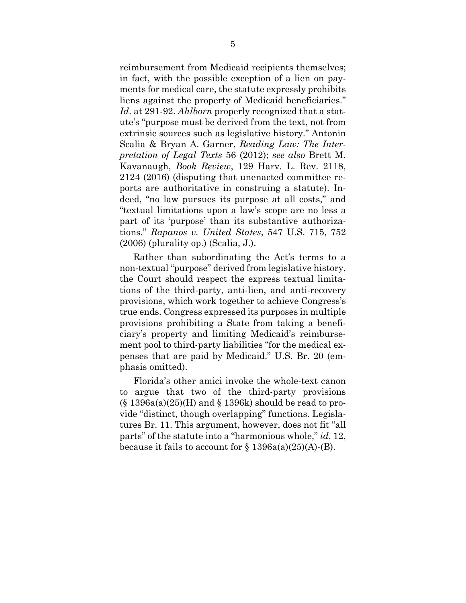reimbursement from Medicaid recipients themselves; in fact, with the possible exception of a lien on payments for medical care, the statute expressly prohibits liens against the property of Medicaid beneficiaries." *Id*. at 291-92. *Ahlborn* properly recognized that a statute's "purpose must be derived from the text, not from extrinsic sources such as legislative history." Antonin Scalia & Bryan A. Garner, *Reading Law: The Interpretation of Legal Texts* 56 (2012); *see also* Brett M. Kavanaugh, *Book Review*, 129 Harv. L. Rev. 2118, 2124 (2016) (disputing that unenacted committee reports are authoritative in construing a statute). Indeed, "no law pursues its purpose at all costs," and "textual limitations upon a law's scope are no less a part of its 'purpose' than its substantive authorizations." *Rapanos v. United States*, 547 U.S. 715, 752 (2006) (plurality op.) (Scalia, J.).

Rather than subordinating the Act's terms to a non-textual "purpose" derived from legislative history, the Court should respect the express textual limitations of the third-party, anti-lien, and anti-recovery provisions, which work together to achieve Congress's true ends. Congress expressed its purposes in multiple provisions prohibiting a State from taking a beneficiary's property and limiting Medicaid's reimbursement pool to third-party liabilities "for the medical expenses that are paid by Medicaid." U.S. Br. 20 (emphasis omitted).

Florida's other amici invoke the whole-text canon to argue that two of the third-party provisions  $(\S 1396a(a)(25)$ (H) and  $\S 1396k$ ) should be read to provide "distinct, though overlapping" functions. Legislatures Br. 11. This argument, however, does not fit "all parts" of the statute into a "harmonious whole," *id*. 12, because it fails to account for  $\S 1396a(a)(25)(A)$ -(B).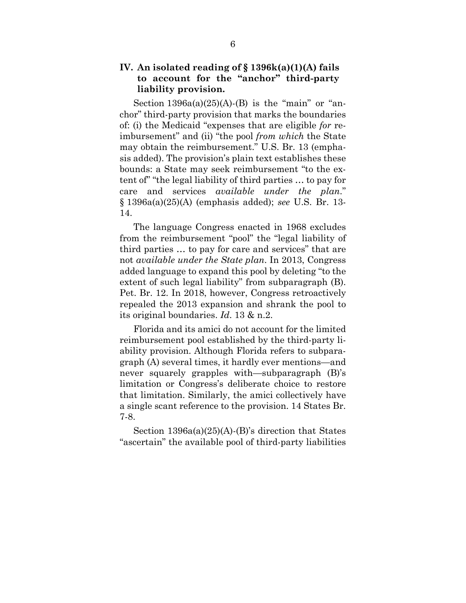## **IV. An isolated reading of § 1396k(a)(1)(A) fails to account for the "anchor" third-party liability provision.**

Section  $1396a(a)(25)(A)$ -(B) is the "main" or "anchor" third-party provision that marks the boundaries of: (i) the Medicaid "expenses that are eligible *for* reimbursement" and (ii) "the pool *from which* the State may obtain the reimbursement." U.S. Br. 13 (emphasis added). The provision's plain text establishes these bounds: a State may seek reimbursement "to the extent of" "the legal liability of third parties … to pay for care and services *available under the plan*." § 1396a(a)(25)(A) (emphasis added); *see* U.S. Br. 13- 14.

The language Congress enacted in 1968 excludes from the reimbursement "pool" the "legal liability of third parties … to pay for care and services" that are not *available under the State plan*. In 2013, Congress added language to expand this pool by deleting "to the extent of such legal liability" from subparagraph (B). Pet. Br. 12. In 2018, however, Congress retroactively repealed the 2013 expansion and shrank the pool to its original boundaries. *Id*. 13 & n.2.

Florida and its amici do not account for the limited reimbursement pool established by the third-party liability provision. Although Florida refers to subparagraph (A) several times, it hardly ever mentions—and never squarely grapples with—subparagraph (B)'s limitation or Congress's deliberate choice to restore that limitation. Similarly, the amici collectively have a single scant reference to the provision. 14 States Br. 7-8.

Section 1396a(a)(25)(A)-(B)'s direction that States "ascertain" the available pool of third-party liabilities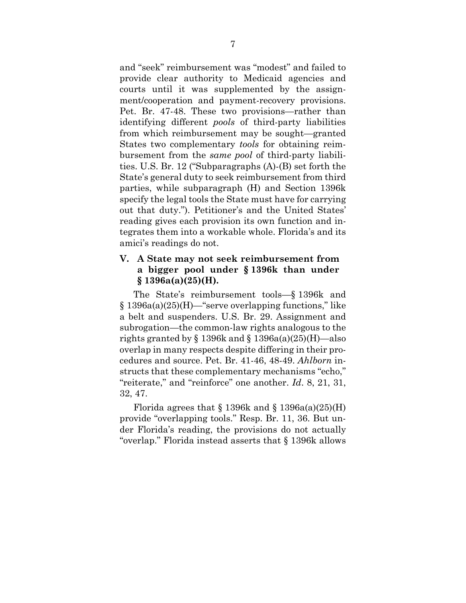and "seek" reimbursement was "modest" and failed to provide clear authority to Medicaid agencies and courts until it was supplemented by the assignment/cooperation and payment-recovery provisions. Pet. Br. 47-48. These two provisions—rather than identifying different *pools* of third-party liabilities from which reimbursement may be sought—granted States two complementary *tools* for obtaining reimbursement from the *same pool* of third-party liabilities. U.S. Br. 12 ("Subparagraphs (A)-(B) set forth the State's general duty to seek reimbursement from third parties, while subparagraph (H) and Section 1396k specify the legal tools the State must have for carrying out that duty."). Petitioner's and the United States' reading gives each provision its own function and integrates them into a workable whole. Florida's and its amici's readings do not.

## **V. A State may not seek reimbursement from a bigger pool under § 1396k than under § 1396a(a)(25)(H).**

The State's reimbursement tools—§ 1396k and § 1396a(a)(25)(H)—"serve overlapping functions," like a belt and suspenders. U.S. Br. 29. Assignment and subrogation—the common-law rights analogous to the rights granted by  $\S 1396k$  and  $\S 1396a(a)(25)(H)$ —also overlap in many respects despite differing in their procedures and source. Pet. Br. 41-46, 48-49. *Ahlborn* instructs that these complementary mechanisms "echo," "reiterate," and "reinforce" one another. *Id*. 8, 21, 31, 32, 47.

Florida agrees that  $\S 1396k$  and  $\S 1396a(a)(25)(H)$ provide "overlapping tools." Resp. Br. 11, 36. But under Florida's reading, the provisions do not actually "overlap." Florida instead asserts that § 1396k allows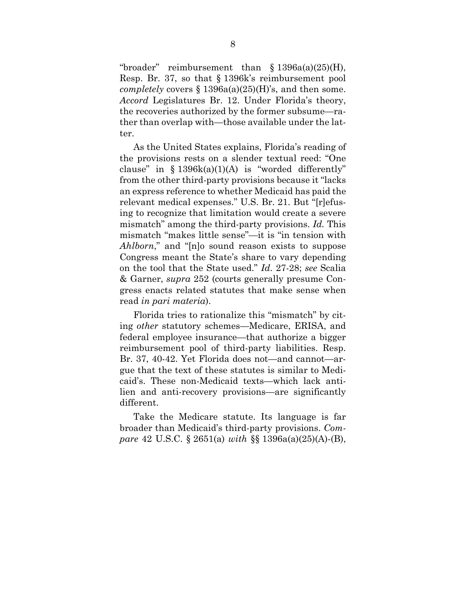"broader" reimbursement than § 1396a(a)(25)(H), Resp. Br. 37, so that § 1396k's reimbursement pool *completely* covers § 1396a(a)(25)(H)'s, and then some. *Accord* Legislatures Br. 12. Under Florida's theory, the recoveries authorized by the former subsume—rather than overlap with—those available under the latter.

As the United States explains, Florida's reading of the provisions rests on a slender textual reed: "One clause" in  $\S$  1396k(a)(1)(A) is "worded differently" from the other third-party provisions because it "lacks an express reference to whether Medicaid has paid the relevant medical expenses." U.S. Br. 21. But "[r]efusing to recognize that limitation would create a severe mismatch" among the third-party provisions. *Id.* This mismatch "makes little sense"—it is "in tension with *Ahlborn*," and "[n]o sound reason exists to suppose Congress meant the State's share to vary depending on the tool that the State used." *Id.* 27-28; *see* Scalia & Garner, *supra* 252 (courts generally presume Congress enacts related statutes that make sense when read *in pari materia*).

Florida tries to rationalize this "mismatch" by citing *other* statutory schemes—Medicare, ERISA, and federal employee insurance—that authorize a bigger reimbursement pool of third-party liabilities. Resp. Br. 37, 40-42. Yet Florida does not—and cannot—argue that the text of these statutes is similar to Medicaid's. These non-Medicaid texts—which lack antilien and anti-recovery provisions—are significantly different.

Take the Medicare statute. Its language is far broader than Medicaid's third-party provisions. *Compare* 42 U.S.C. § 2651(a) *with* §§ 1396a(a)(25)(A)-(B),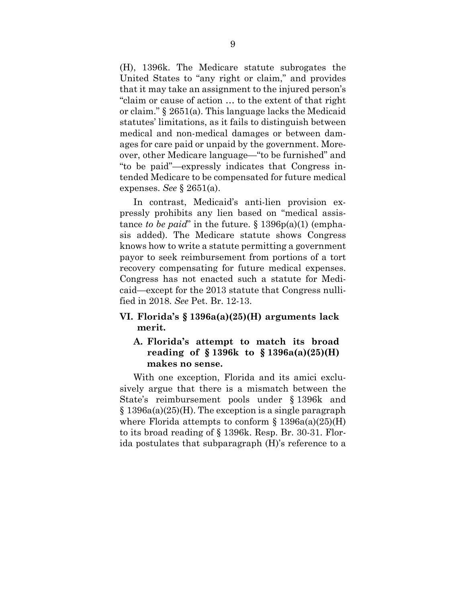(H), 1396k. The Medicare statute subrogates the United States to "any right or claim," and provides that it may take an assignment to the injured person's "claim or cause of action … to the extent of that right or claim." § 2651(a). This language lacks the Medicaid statutes' limitations, as it fails to distinguish between medical and non-medical damages or between damages for care paid or unpaid by the government. Moreover, other Medicare language—"to be furnished" and "to be paid"—expressly indicates that Congress intended Medicare to be compensated for future medical expenses. *See* § 2651(a).

In contrast, Medicaid's anti-lien provision expressly prohibits any lien based on "medical assistance *to be paid*" in the future. § 1396p(a)(1) (emphasis added). The Medicare statute shows Congress knows how to write a statute permitting a government payor to seek reimbursement from portions of a tort recovery compensating for future medical expenses. Congress has not enacted such a statute for Medicaid—except for the 2013 statute that Congress nullified in 2018. *See* Pet. Br. 12-13.

### **VI. Florida's § 1396a(a)(25)(H) arguments lack merit.**

### **A. Florida's attempt to match its broad reading of § 1396k to § 1396a(a)(25)(H) makes no sense.**

With one exception, Florida and its amici exclusively argue that there is a mismatch between the State's reimbursement pools under § 1396k and § 1396a(a)(25)(H). The exception is a single paragraph where Florida attempts to conform  $\S$  1396a(a)(25)(H) to its broad reading of § 1396k. Resp. Br. 30-31. Florida postulates that subparagraph (H)'s reference to a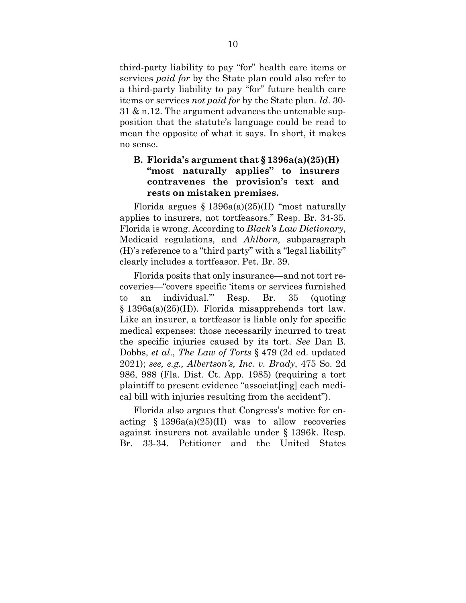third-party liability to pay "for" health care items or services *paid for* by the State plan could also refer to a third-party liability to pay "for" future health care items or services *not paid for* by the State plan. *Id*. 30- 31 & n.12. The argument advances the untenable supposition that the statute's language could be read to mean the opposite of what it says. In short, it makes no sense.

## **B. Florida's argument that § 1396a(a)(25)(H) "most naturally applies" to insurers contravenes the provision's text and rests on mistaken premises.**

Florida argues  $\S 1396a(a)(25)$ (H) "most naturally applies to insurers, not tortfeasors." Resp. Br. 34-35. Florida is wrong. According to *Black's Law Dictionary*, Medicaid regulations, and *Ahlborn,* subparagraph (H)'s reference to a "third party" with a "legal liability" clearly includes a tortfeasor. Pet. Br. 39.

Florida posits that only insurance—and not tort recoveries—"covers specific 'items or services furnished to an individual.'" Resp. Br. 35 (quoting § 1396a(a)(25)(H)). Florida misapprehends tort law. Like an insurer, a tortfeasor is liable only for specific medical expenses: those necessarily incurred to treat the specific injuries caused by its tort. *See* Dan B. Dobbs, *et al*., *The Law of Torts* § 479 (2d ed. updated 2021); *see, e.g., Albertson's, Inc. v. Brady*, 475 So. 2d 986, 988 (Fla. Dist. Ct. App. 1985) (requiring a tort plaintiff to present evidence "associat[ing] each medical bill with injuries resulting from the accident").

Florida also argues that Congress's motive for enacting  $$ 1396a(a)(25)$ (H) was to allow recoveries against insurers not available under § 1396k. Resp. Br. 33-34. Petitioner and the United States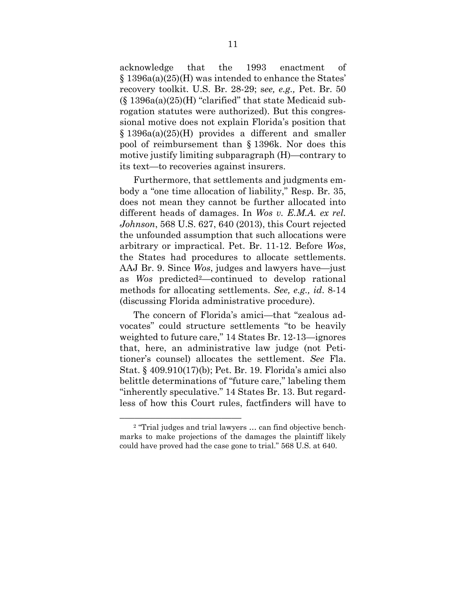acknowledge that the 1993 enactment of § 1396a(a)(25)(H) was intended to enhance the States' recovery toolkit. U.S. Br. 28-29; s*ee, e.g.,* Pet. Br. 50 (§ 1396a(a)(25)(H) "clarified" that state Medicaid subrogation statutes were authorized). But this congressional motive does not explain Florida's position that § 1396a(a)(25)(H) provides a different and smaller pool of reimbursement than § 1396k. Nor does this motive justify limiting subparagraph (H)—contrary to its text—to recoveries against insurers.

Furthermore, that settlements and judgments embody a "one time allocation of liability," Resp. Br. 35, does not mean they cannot be further allocated into different heads of damages. In *Wos v. E.M.A. ex rel. Johnson*, 568 U.S. 627, 640 (2013), this Court rejected the unfounded assumption that such allocations were arbitrary or impractical. Pet. Br. 11-12. Before *Wos*, the States had procedures to allocate settlements. AAJ Br. 9. Since *Wos*, judges and lawyers have—just as *Wos* predicted2—continued to develop rational methods for allocating settlements. *See, e.g., id*. 8-14 (discussing Florida administrative procedure).

The concern of Florida's amici—that "zealous advocates" could structure settlements "to be heavily weighted to future care," 14 States Br. 12-13—ignores that, here, an administrative law judge (not Petitioner's counsel) allocates the settlement. *See* Fla. Stat. § 409.910(17)(b); Pet. Br. 19. Florida's amici also belittle determinations of "future care," labeling them "inherently speculative." 14 States Br. 13. But regardless of how this Court rules, factfinders will have to

 $2$  "Trial judges and trial lawyers  $\ldots$  can find objective benchmarks to make projections of the damages the plaintiff likely could have proved had the case gone to trial." 568 U.S. at 640.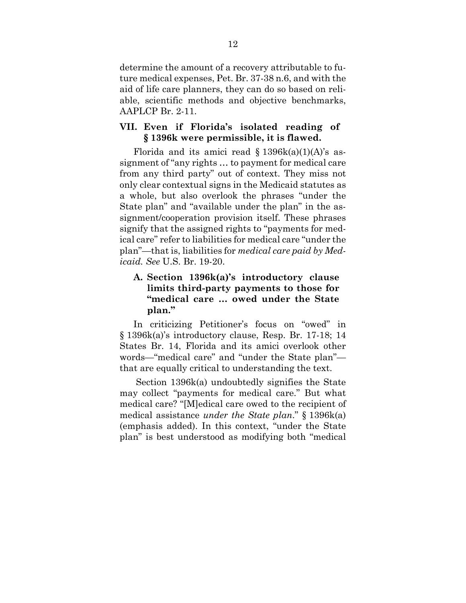determine the amount of a recovery attributable to future medical expenses, Pet. Br. 37-38 n.6, and with the aid of life care planners, they can do so based on reliable, scientific methods and objective benchmarks, AAPLCP Br. 2-11.

### **VII. Even if Florida's isolated reading of § 1396k were permissible, it is flawed.**

Florida and its amici read  $\S$  1396k(a)(1)(A)'s assignment of "any rights … to payment for medical care from any third party" out of context. They miss not only clear contextual signs in the Medicaid statutes as a whole, but also overlook the phrases "under the State plan" and "available under the plan" in the assignment/cooperation provision itself. These phrases signify that the assigned rights to "payments for medical care" refer to liabilities for medical care "under the plan"—that is, liabilities for *medical care paid by Medicaid. See* U.S. Br. 19-20.

# **A. Section 1396k(a)'s introductory clause limits third-party payments to those for "medical care … owed under the State plan."**

In criticizing Petitioner's focus on "owed" in § 1396k(a)'s introductory clause, Resp. Br. 17-18; 14 States Br. 14, Florida and its amici overlook other words—"medical care" and "under the State plan" that are equally critical to understanding the text.

 Section 1396k(a) undoubtedly signifies the State may collect "payments for medical care." But what medical care? "[M]edical care owed to the recipient of medical assistance *under the State plan*." § 1396k(a) (emphasis added). In this context, "under the State plan" is best understood as modifying both "medical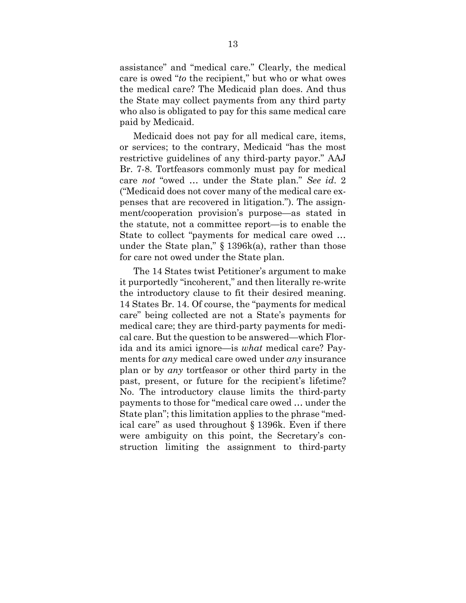assistance" and "medical care." Clearly, the medical care is owed "*to* the recipient," but who or what owes the medical care? The Medicaid plan does. And thus the State may collect payments from any third party who also is obligated to pay for this same medical care paid by Medicaid.

Medicaid does not pay for all medical care, items, or services; to the contrary, Medicaid "has the most restrictive guidelines of any third-party payor." AAJ Br. 7-8. Tortfeasors commonly must pay for medical care *not* "owed … under the State plan." *See id*. 2 ("Medicaid does not cover many of the medical care expenses that are recovered in litigation."). The assignment/cooperation provision's purpose—as stated in the statute, not a committee report—is to enable the State to collect "payments for medical care owed … under the State plan," § 1396k(a), rather than those for care not owed under the State plan.

The 14 States twist Petitioner's argument to make it purportedly "incoherent," and then literally re-write the introductory clause to fit their desired meaning. 14 States Br. 14. Of course, the "payments for medical care" being collected are not a State's payments for medical care; they are third-party payments for medical care. But the question to be answered—which Florida and its amici ignore—is *what* medical care? Payments for *any* medical care owed under *any* insurance plan or by *any* tortfeasor or other third party in the past, present, or future for the recipient's lifetime? No. The introductory clause limits the third-party payments to those for "medical care owed … under the State plan"; this limitation applies to the phrase "medical care" as used throughout § 1396k. Even if there were ambiguity on this point, the Secretary's construction limiting the assignment to third-party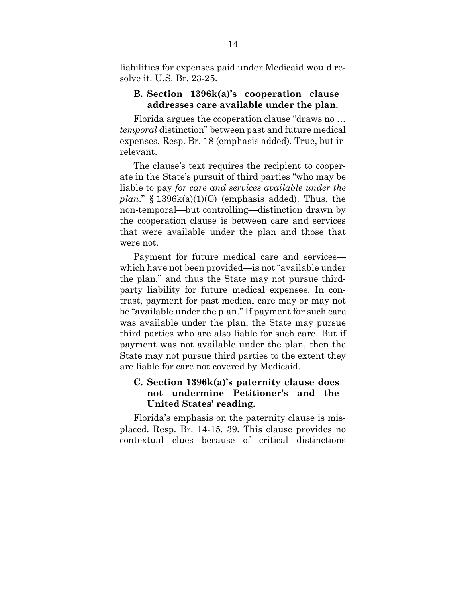liabilities for expenses paid under Medicaid would resolve it. U.S. Br. 23-25.

#### **B. Section 1396k(a)'s cooperation clause addresses care available under the plan.**

Florida argues the cooperation clause "draws no … *temporal* distinction" between past and future medical expenses. Resp. Br. 18 (emphasis added). True, but irrelevant.

The clause's text requires the recipient to cooperate in the State's pursuit of third parties "who may be liable to pay *for care and services available under the plan*." § 1396k(a)(1)(C) (emphasis added). Thus, the non-temporal—but controlling—distinction drawn by the cooperation clause is between care and services that were available under the plan and those that were not.

Payment for future medical care and services which have not been provided—is not "available under the plan," and thus the State may not pursue thirdparty liability for future medical expenses. In contrast, payment for past medical care may or may not be "available under the plan." If payment for such care was available under the plan, the State may pursue third parties who are also liable for such care. But if payment was not available under the plan, then the State may not pursue third parties to the extent they are liable for care not covered by Medicaid.

## **C. Section 1396k(a)'s paternity clause does not undermine Petitioner's and the United States' reading.**

Florida's emphasis on the paternity clause is misplaced. Resp. Br. 14-15, 39. This clause provides no contextual clues because of critical distinctions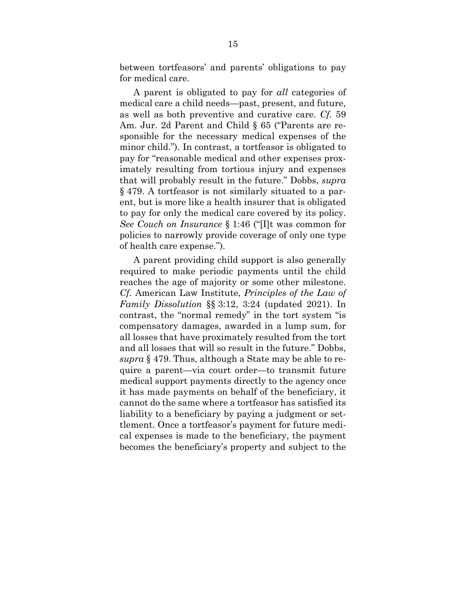between tortfeasors' and parents' obligations to pay for medical care.

A parent is obligated to pay for *all* categories of medical care a child needs—past, present, and future, as well as both preventive and curative care. *Cf.* 59 Am. Jur. 2d Parent and Child § 65 ("Parents are responsible for the necessary medical expenses of the minor child."). In contrast, a tortfeasor is obligated to pay for "reasonable medical and other expenses proximately resulting from tortious injury and expenses that will probably result in the future." Dobbs, *supra*  § 479. A tortfeasor is not similarly situated to a parent, but is more like a health insurer that is obligated to pay for only the medical care covered by its policy. *See Couch on Insurance* § 1:46 ("[I]t was common for policies to narrowly provide coverage of only one type of health care expense.").

A parent providing child support is also generally required to make periodic payments until the child reaches the age of majority or some other milestone. *Cf.* American Law Institute, *Principles of the Law of Family Dissolution* §§ 3:12, 3:24 (updated 2021). In contrast, the "normal remedy" in the tort system "is compensatory damages, awarded in a lump sum, for all losses that have proximately resulted from the tort and all losses that will so result in the future." Dobbs, *supra* § 479. Thus, although a State may be able to require a parent—via court order—to transmit future medical support payments directly to the agency once it has made payments on behalf of the beneficiary, it cannot do the same where a tortfeasor has satisfied its liability to a beneficiary by paying a judgment or settlement. Once a tortfeasor's payment for future medical expenses is made to the beneficiary, the payment becomes the beneficiary's property and subject to the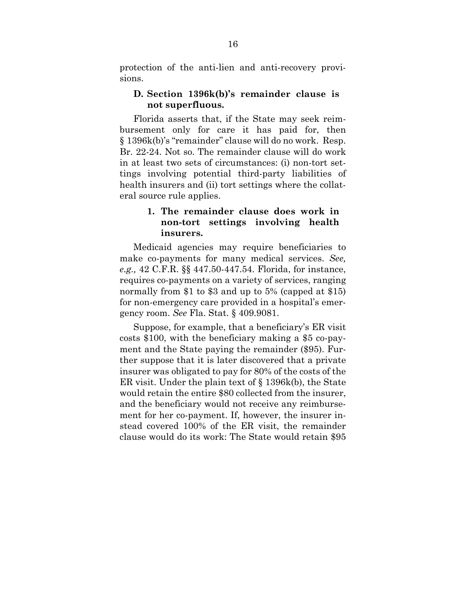protection of the anti-lien and anti-recovery provisions.

#### **D. Section 1396k(b)'s remainder clause is not superfluous.**

Florida asserts that, if the State may seek reimbursement only for care it has paid for, then § 1396k(b)'s "remainder" clause will do no work. Resp. Br. 22-24. Not so. The remainder clause will do work in at least two sets of circumstances: (i) non-tort settings involving potential third-party liabilities of health insurers and (ii) tort settings where the collateral source rule applies.

### **1. The remainder clause does work in non-tort settings involving health insurers.**

Medicaid agencies may require beneficiaries to make co-payments for many medical services. *See, e.g.,* 42 C.F.R. §§ 447.50-447.54. Florida, for instance, requires co-payments on a variety of services, ranging normally from \$1 to \$3 and up to 5% (capped at \$15) for non-emergency care provided in a hospital's emergency room. *See* Fla. Stat. § 409.9081.

Suppose, for example, that a beneficiary's ER visit costs \$100, with the beneficiary making a \$5 co-payment and the State paying the remainder (\$95). Further suppose that it is later discovered that a private insurer was obligated to pay for 80% of the costs of the ER visit. Under the plain text of § 1396k(b), the State would retain the entire \$80 collected from the insurer, and the beneficiary would not receive any reimbursement for her co-payment. If, however, the insurer instead covered 100% of the ER visit, the remainder clause would do its work: The State would retain \$95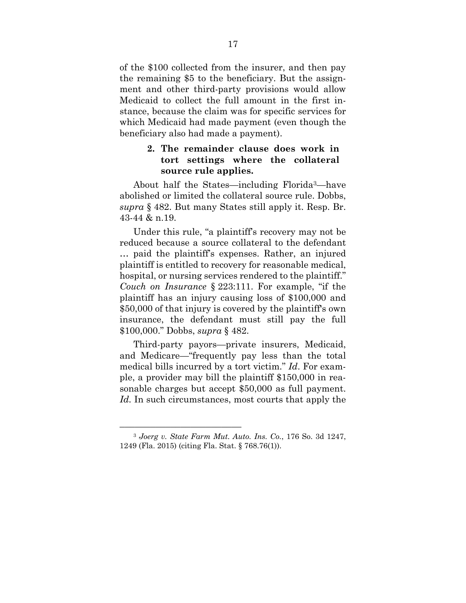of the \$100 collected from the insurer, and then pay the remaining \$5 to the beneficiary. But the assignment and other third-party provisions would allow Medicaid to collect the full amount in the first instance, because the claim was for specific services for which Medicaid had made payment (even though the beneficiary also had made a payment).

### **2. The remainder clause does work in tort settings where the collateral source rule applies.**

About half the States—including Florida3—have abolished or limited the collateral source rule. Dobbs, *supra* § 482. But many States still apply it. Resp. Br. 43-44 & n.19.

Under this rule, "a plaintiff's recovery may not be reduced because a source collateral to the defendant … paid the plaintiff's expenses. Rather, an injured plaintiff is entitled to recovery for reasonable medical, hospital, or nursing services rendered to the plaintiff." *Couch on Insurance* § 223:111. For example, "if the plaintiff has an injury causing loss of \$100,000 and \$50,000 of that injury is covered by the plaintiff's own insurance, the defendant must still pay the full \$100,000." Dobbs, *supra* § 482.

Third-party payors—private insurers, Medicaid, and Medicare—"frequently pay less than the total medical bills incurred by a tort victim." *Id*. For example, a provider may bill the plaintiff \$150,000 in reasonable charges but accept \$50,000 as full payment. *Id.* In such circumstances, most courts that apply the

<sup>–––––––––––––––––––––––– 3</sup> *Joerg v. State Farm Mut. Auto. Ins. Co.*, 176 So. 3d 1247, 1249 (Fla. 2015) (citing Fla. Stat. § 768.76(1)).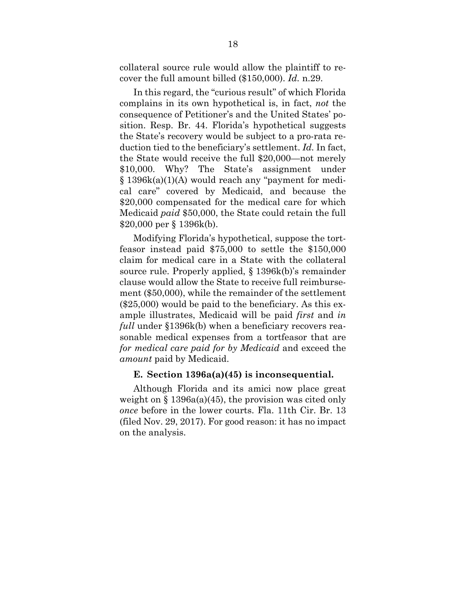collateral source rule would allow the plaintiff to recover the full amount billed (\$150,000). *Id.* n.29.

In this regard, the "curious result" of which Florida complains in its own hypothetical is, in fact, *not* the consequence of Petitioner's and the United States' position. Resp. Br. 44. Florida's hypothetical suggests the State's recovery would be subject to a pro-rata reduction tied to the beneficiary's settlement. *Id.* In fact, the State would receive the full \$20,000—not merely \$10,000. Why? The State's assignment under § 1396k(a)(1)(A) would reach any "payment for medical care" covered by Medicaid, and because the \$20,000 compensated for the medical care for which Medicaid *paid* \$50,000, the State could retain the full \$20,000 per § 1396k(b).

Modifying Florida's hypothetical, suppose the tortfeasor instead paid \$75,000 to settle the \$150,000 claim for medical care in a State with the collateral source rule. Properly applied, § 1396k(b)'s remainder clause would allow the State to receive full reimbursement (\$50,000), while the remainder of the settlement (\$25,000) would be paid to the beneficiary. As this example illustrates, Medicaid will be paid *first* and *in full* under §1396k(b) when a beneficiary recovers reasonable medical expenses from a tortfeasor that are *for medical care paid for by Medicaid* and exceed the *amount* paid by Medicaid.

#### **E. Section 1396a(a)(45) is inconsequential.**

Although Florida and its amici now place great weight on  $\S$  1396a(a)(45), the provision was cited only *once* before in the lower courts. Fla. 11th Cir. Br. 13 (filed Nov. 29, 2017). For good reason: it has no impact on the analysis.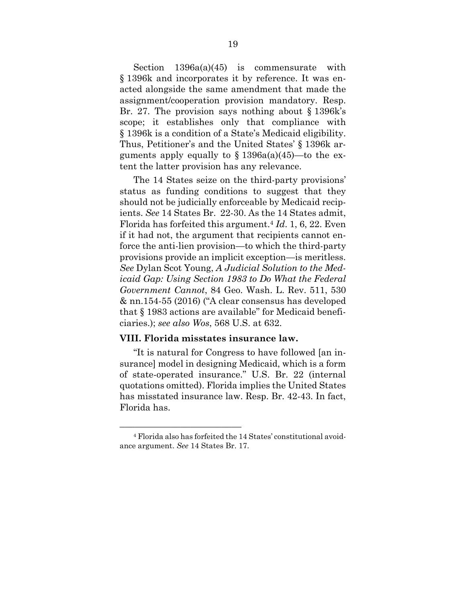Section 1396a(a)(45) is commensurate with § 1396k and incorporates it by reference. It was enacted alongside the same amendment that made the assignment/cooperation provision mandatory. Resp. Br. 27. The provision says nothing about § 1396k's scope; it establishes only that compliance with § 1396k is a condition of a State's Medicaid eligibility. Thus, Petitioner's and the United States' § 1396k arguments apply equally to  $\S 1396a(a)(45)$ —to the extent the latter provision has any relevance.

The 14 States seize on the third-party provisions' status as funding conditions to suggest that they should not be judicially enforceable by Medicaid recipients. *See* 14 States Br. 22-30. As the 14 States admit, Florida has forfeited this argument.4 *Id*. 1, 6, 22. Even if it had not, the argument that recipients cannot enforce the anti-lien provision—to which the third-party provisions provide an implicit exception—is meritless. *See* Dylan Scot Young, *A Judicial Solution to the Medicaid Gap: Using Section 1983 to Do What the Federal Government Cannot*, 84 Geo. Wash. L. Rev. 511, 530 & nn.154-55 (2016) ("A clear consensus has developed that § 1983 actions are available" for Medicaid beneficiaries.); *see also Wos*, 568 U.S. at 632.

#### **VIII. Florida misstates insurance law.**

"It is natural for Congress to have followed [an insurance] model in designing Medicaid, which is a form of state-operated insurance." U.S. Br. 22 (internal quotations omitted). Florida implies the United States has misstated insurance law. Resp. Br. 42-43. In fact, Florida has.

<sup>&</sup>lt;sup>4</sup> Florida also has forfeited the 14 States' constitutional avoidance argument. *See* 14 States Br. 17.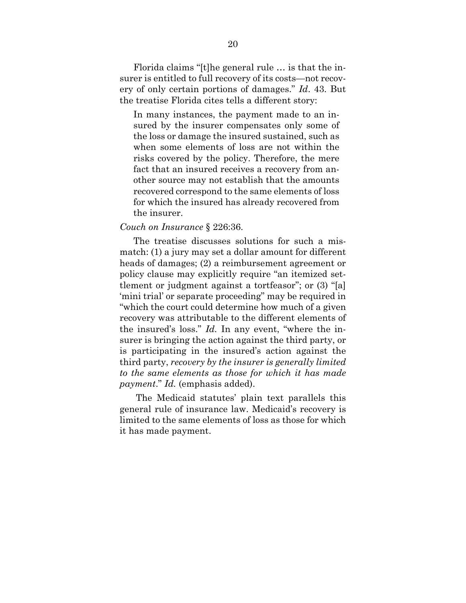Florida claims "[t]he general rule … is that the insurer is entitled to full recovery of its costs—not recovery of only certain portions of damages." *Id*. 43. But the treatise Florida cites tells a different story:

In many instances, the payment made to an insured by the insurer compensates only some of the loss or damage the insured sustained, such as when some elements of loss are not within the risks covered by the policy. Therefore, the mere fact that an insured receives a recovery from another source may not establish that the amounts recovered correspond to the same elements of loss for which the insured has already recovered from the insurer.

#### *Couch on Insurance* § 226:36.

The treatise discusses solutions for such a mismatch: (1) a jury may set a dollar amount for different heads of damages; (2) a reimbursement agreement or policy clause may explicitly require "an itemized settlement or judgment against a tortfeasor"; or (3) "[a] 'mini trial' or separate proceeding" may be required in "which the court could determine how much of a given recovery was attributable to the different elements of the insured's loss." *Id.* In any event, "where the insurer is bringing the action against the third party, or is participating in the insured's action against the third party, *recovery by the insurer is generally limited to the same elements as those for which it has made payment*." *Id.* (emphasis added).

 The Medicaid statutes' plain text parallels this general rule of insurance law. Medicaid's recovery is limited to the same elements of loss as those for which it has made payment.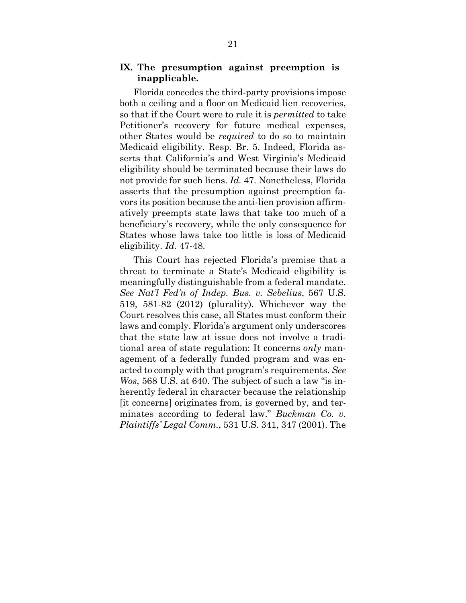### **IX. The presumption against preemption is inapplicable.**

Florida concedes the third-party provisions impose both a ceiling and a floor on Medicaid lien recoveries, so that if the Court were to rule it is *permitted* to take Petitioner's recovery for future medical expenses, other States would be *required* to do so to maintain Medicaid eligibility. Resp. Br. 5. Indeed, Florida asserts that California's and West Virginia's Medicaid eligibility should be terminated because their laws do not provide for such liens. *Id.* 47. Nonetheless, Florida asserts that the presumption against preemption favors its position because the anti-lien provision affirmatively preempts state laws that take too much of a beneficiary's recovery, while the only consequence for States whose laws take too little is loss of Medicaid eligibility. *Id.* 47-48.

This Court has rejected Florida's premise that a threat to terminate a State's Medicaid eligibility is meaningfully distinguishable from a federal mandate. *See Nat'l Fed'n of Indep. Bus. v. Sebelius*, 567 U.S. 519, 581-82 (2012) (plurality). Whichever way the Court resolves this case, all States must conform their laws and comply. Florida's argument only underscores that the state law at issue does not involve a traditional area of state regulation: It concerns *only* management of a federally funded program and was enacted to comply with that program's requirements. *See Wos*, 568 U.S. at 640. The subject of such a law "is inherently federal in character because the relationship [it concerns] originates from, is governed by, and terminates according to federal law." *Buckman Co. v. Plaintiffs' Legal Comm.*, 531 U.S. 341, 347 (2001). The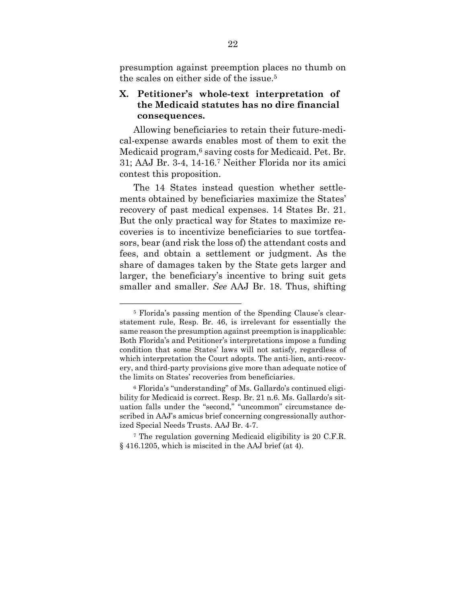presumption against preemption places no thumb on the scales on either side of the issue.5

## **X. Petitioner's whole-text interpretation of the Medicaid statutes has no dire financial consequences.**

Allowing beneficiaries to retain their future-medical-expense awards enables most of them to exit the Medicaid program,6 saving costs for Medicaid. Pet. Br. 31; AAJ Br. 3-4, 14-16.7 Neither Florida nor its amici contest this proposition.

The 14 States instead question whether settlements obtained by beneficiaries maximize the States' recovery of past medical expenses. 14 States Br. 21. But the only practical way for States to maximize recoveries is to incentivize beneficiaries to sue tortfeasors, bear (and risk the loss of) the attendant costs and fees, and obtain a settlement or judgment. As the share of damages taken by the State gets larger and larger, the beneficiary's incentive to bring suit gets smaller and smaller. *See* AAJ Br. 18. Thus, shifting

<sup>&</sup>lt;sup>5</sup> Florida's passing mention of the Spending Clause's clearstatement rule, Resp. Br. 46, is irrelevant for essentially the same reason the presumption against preemption is inapplicable: Both Florida's and Petitioner's interpretations impose a funding condition that some States' laws will not satisfy, regardless of which interpretation the Court adopts. The anti-lien, anti-recovery, and third-party provisions give more than adequate notice of the limits on States' recoveries from beneficiaries.

<sup>6</sup> Florida's "understanding" of Ms. Gallardo's continued eligibility for Medicaid is correct. Resp. Br. 21 n.6. Ms. Gallardo's situation falls under the "second," "uncommon" circumstance described in AAJ's amicus brief concerning congressionally authorized Special Needs Trusts. AAJ Br. 4-7.

<sup>7</sup> The regulation governing Medicaid eligibility is 20 C.F.R. § 416.1205, which is miscited in the AAJ brief (at 4).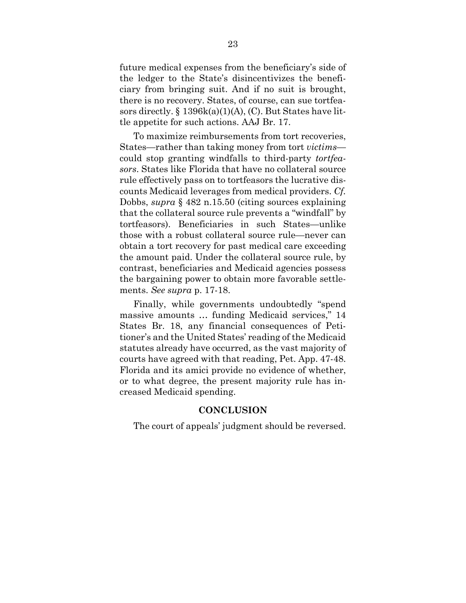future medical expenses from the beneficiary's side of the ledger to the State's disincentivizes the beneficiary from bringing suit. And if no suit is brought, there is no recovery. States, of course, can sue tortfeasors directly.  $\S 1396k(a)(1)(A)$ , (C). But States have little appetite for such actions. AAJ Br. 17.

To maximize reimbursements from tort recoveries, States—rather than taking money from tort *victims* could stop granting windfalls to third-party *tortfeasors*. States like Florida that have no collateral source rule effectively pass on to tortfeasors the lucrative discounts Medicaid leverages from medical providers. *Cf.* Dobbs, *supra* § 482 n.15.50 (citing sources explaining that the collateral source rule prevents a "windfall" by tortfeasors). Beneficiaries in such States—unlike those with a robust collateral source rule—never can obtain a tort recovery for past medical care exceeding the amount paid. Under the collateral source rule, by contrast, beneficiaries and Medicaid agencies possess the bargaining power to obtain more favorable settlements. *See supra* p. 17-18.

Finally, while governments undoubtedly "spend massive amounts … funding Medicaid services," 14 States Br. 18, any financial consequences of Petitioner's and the United States' reading of the Medicaid statutes already have occurred, as the vast majority of courts have agreed with that reading, Pet. App. 47-48. Florida and its amici provide no evidence of whether, or to what degree, the present majority rule has increased Medicaid spending.

#### **CONCLUSION**

The court of appeals' judgment should be reversed.